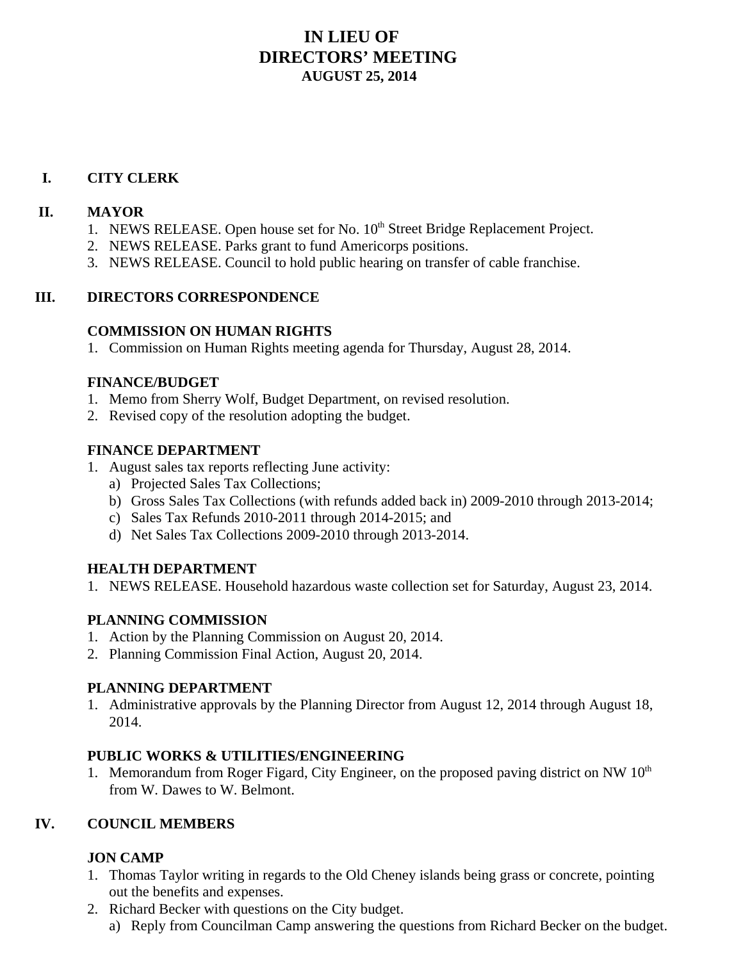# **IN LIEU OF DIRECTORS' MEETING AUGUST 25, 2014**

# **I. CITY CLERK**

#### **II. MAYOR**

- 1. NEWS RELEASE. Open house set for No. 10<sup>th</sup> Street Bridge Replacement Project.
- 2. NEWS RELEASE. Parks grant to fund Americorps positions.
- 3. NEWS RELEASE. Council to hold public hearing on transfer of cable franchise.

## **III. DIRECTORS CORRESPONDENCE**

#### **COMMISSION ON HUMAN RIGHTS**

1. Commission on Human Rights meeting agenda for Thursday, August 28, 2014.

#### **FINANCE/BUDGET**

- 1. Memo from Sherry Wolf, Budget Department, on revised resolution.
- 2. Revised copy of the resolution adopting the budget.

## **FINANCE DEPARTMENT**

- 1. August sales tax reports reflecting June activity:
	- a) Projected Sales Tax Collections;
	- b) Gross Sales Tax Collections (with refunds added back in) 2009-2010 through 2013-2014;
	- c) Sales Tax Refunds 2010-2011 through 2014-2015; and
	- d) Net Sales Tax Collections 2009-2010 through 2013-2014.

## **HEALTH DEPARTMENT**

1. NEWS RELEASE. Household hazardous waste collection set for Saturday, August 23, 2014.

## **PLANNING COMMISSION**

- 1. Action by the Planning Commission on August 20, 2014.
- 2. Planning Commission Final Action, August 20, 2014.

## **PLANNING DEPARTMENT**

1. Administrative approvals by the Planning Director from August 12, 2014 through August 18, 2014.

## **PUBLIC WORKS & UTILITIES/ENGINEERING**

1. Memorandum from Roger Figard, City Engineer, on the proposed paving district on NW 10<sup>th</sup> from W. Dawes to W. Belmont.

## **IV. COUNCIL MEMBERS**

## **JON CAMP**

- 1. Thomas Taylor writing in regards to the Old Cheney islands being grass or concrete, pointing out the benefits and expenses.
- 2. Richard Becker with questions on the City budget.
	- a) Reply from Councilman Camp answering the questions from Richard Becker on the budget.